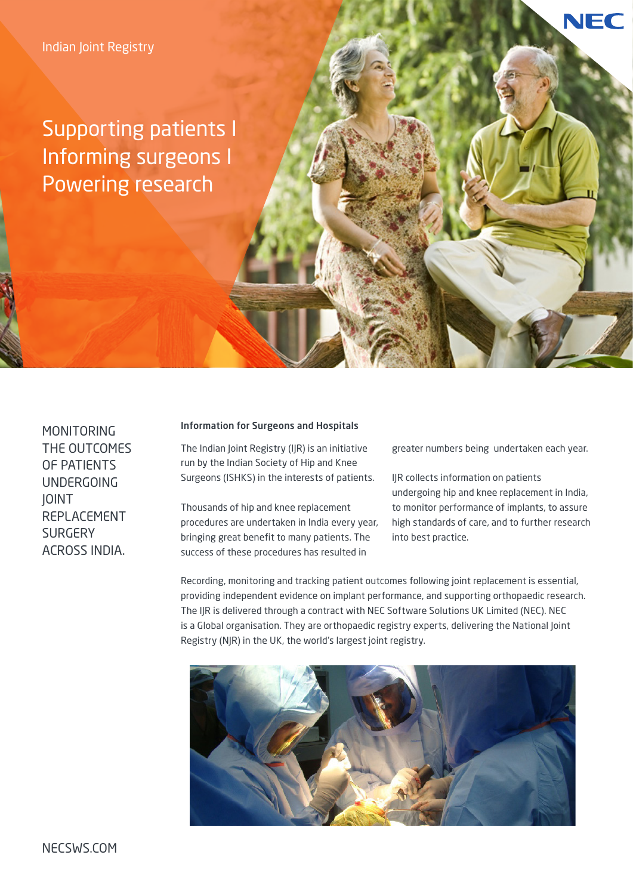Supporting patients I Informing surgeons I Powering research

**MONITORING** THE OUTCOMES OF PATIENTS UNDERGOING JOINT REPLACEMENT **SURGERY** ACROSS INDIA.

#### Information for Surgeons and Hospitals

The Indian Joint Registry (IJR) is an initiative run by the Indian Society of Hip and Knee Surgeons (ISHKS) in the interests of patients.

Thousands of hip and knee replacement procedures are undertaken in India every year, bringing great benefit to many patients. The success of these procedures has resulted in

greater numbers being undertaken each year.

NEC

IJR collects information on patients undergoing hip and knee replacement in India, to monitor performance of implants, to assure high standards of care, and to further research into best practice.

Recording, monitoring and tracking patient outcomes following joint replacement is essential, providing independent evidence on implant performance, and supporting orthopaedic research. The IJR is delivered through a contract with NEC Software Solutions UK Limited (NEC). NEC is a Global organisation. They are orthopaedic registry experts, delivering the National Joint Registry (NJR) in the UK, the world's largest joint registry.

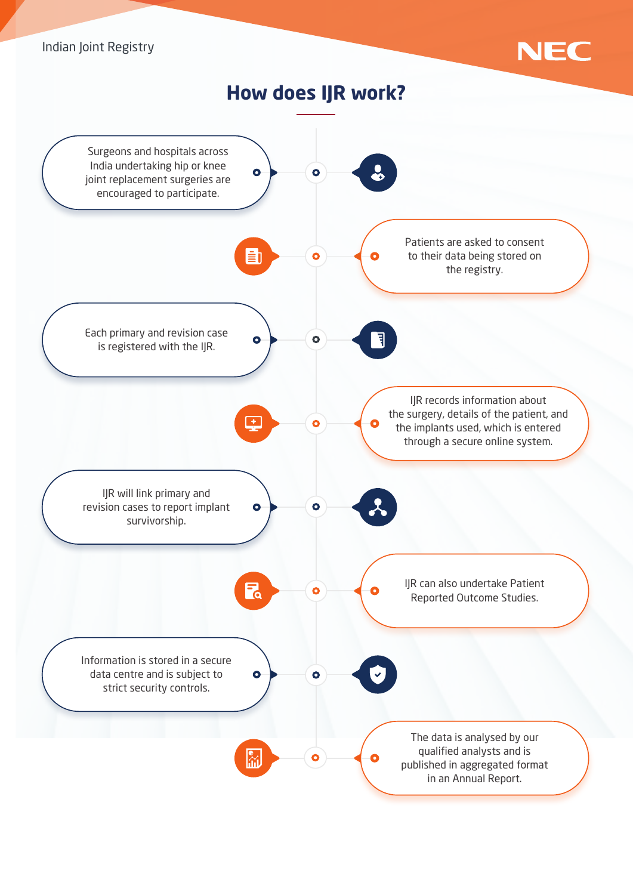### Indian Joint Registry



**How does IJR work?**

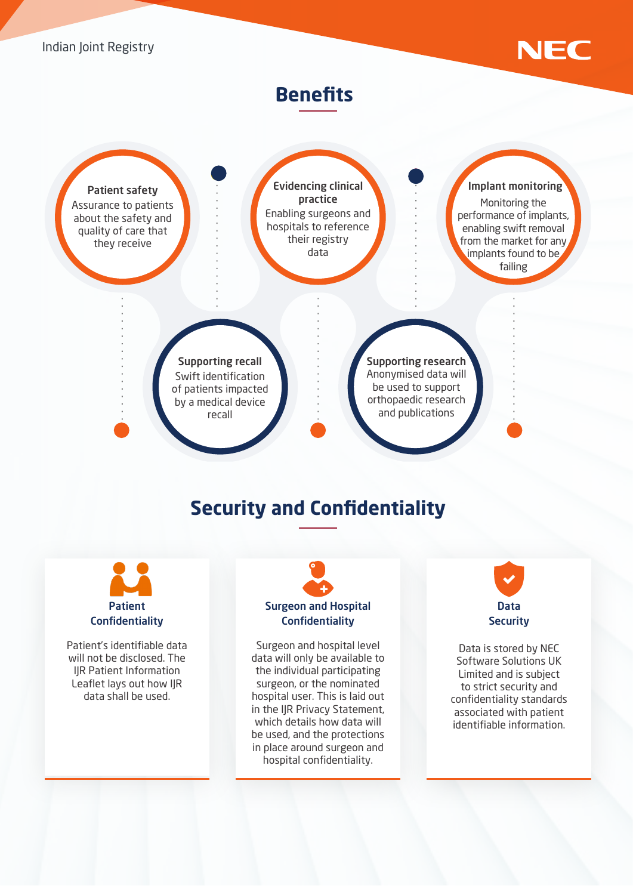

## **Benefits**



# **Security and Confidentiality**



Patient's identifiable data will not be disclosed. The IJR Patient Information Leaflet lays out how IJR data shall be used.

# Surgeon and Hospital **Confidentiality**

Surgeon and hospital level data will only be available to the individual participating surgeon, or the nominated hospital user. This is laid out in the IJR Privacy Statement, which details how data will be used, and the protections in place around surgeon and hospital confidentiality.



Data is stored by NEC Software Solutions UK Limited and is subject to strict security and confidentiality standards associated with patient identifiable information.